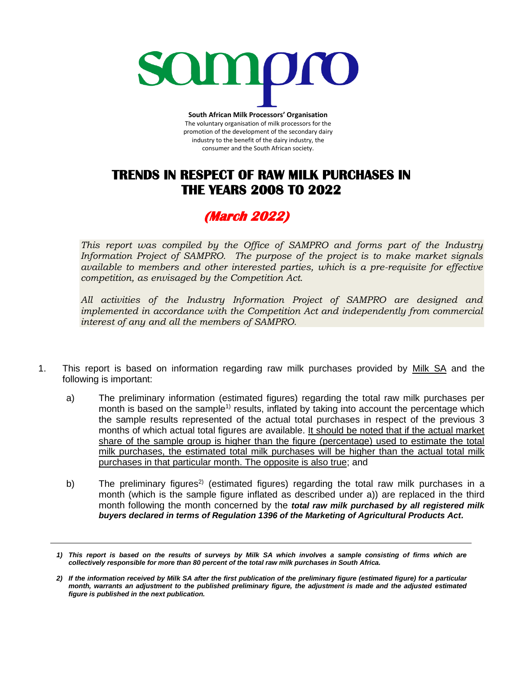

**South African Milk Processors' Organisation** The voluntary organisation of milk processors for the promotion of the development of the secondary dairy industry to the benefit of the dairy industry, the consumer and the South African society.

## **TRENDS IN RESPECT OF RAW MILK PURCHASES IN THE YEARS 2008 TO 2022**

## **(March 2022)**

*This report was compiled by the Office of SAMPRO and forms part of the Industry Information Project of SAMPRO. The purpose of the project is to make market signals available to members and other interested parties, which is a pre-requisite for effective competition, as envisaged by the Competition Act.* 

*All activities of the Industry Information Project of SAMPRO are designed and implemented in accordance with the Competition Act and independently from commercial interest of any and all the members of SAMPRO.*

- 1. This report is based on information regarding raw milk purchases provided by Milk SA and the following is important:
	- a) The preliminary information (estimated figures) regarding the total raw milk purchases per month is based on the sample<sup>1)</sup> results, inflated by taking into account the percentage which the sample results represented of the actual total purchases in respect of the previous 3 months of which actual total figures are available. It should be noted that if the actual market share of the sample group is higher than the figure (percentage) used to estimate the total milk purchases, the estimated total milk purchases will be higher than the actual total milk purchases in that particular month. The opposite is also true; and
	- b) The preliminary figures<sup>2)</sup> (estimated figures) regarding the total raw milk purchases in a month (which is the sample figure inflated as described under a)) are replaced in the third month following the month concerned by the *total raw milk purchased by all registered milk buyers declared in terms of Regulation 1396 of the Marketing of Agricultural Products Act.*

*<sup>1)</sup> This report is based on the results of surveys by Milk SA which involves a sample consisting of firms which are collectively responsible for more than 80 percent of the total raw milk purchases in South Africa.* 

*<sup>2)</sup> If the information received by Milk SA after the first publication of the preliminary figure (estimated figure) for a particular month, warrants an adjustment to the published preliminary figure, the adjustment is made and the adjusted estimated figure is published in the next publication.*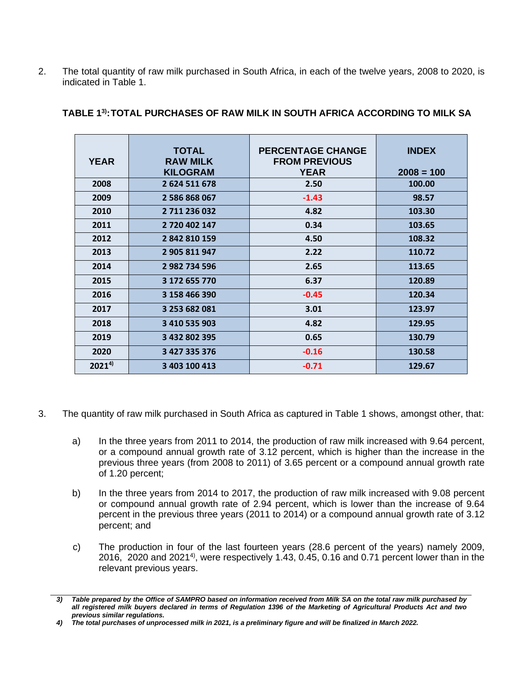2. The total quantity of raw milk purchased in South Africa, in each of the twelve years, 2008 to 2020, is indicated in Table 1.

| <b>YEAR</b> | <b>TOTAL</b><br><b>RAW MILK</b><br><b>KILOGRAM</b> | <b>PERCENTAGE CHANGE</b><br><b>FROM PREVIOUS</b><br><b>YEAR</b> | <b>INDEX</b><br>$2008 = 100$ |
|-------------|----------------------------------------------------|-----------------------------------------------------------------|------------------------------|
| 2008        | 2624511678                                         | 2.50                                                            | 100.00                       |
| 2009        | 2 586 868 067                                      | $-1.43$                                                         | 98.57                        |
| 2010        | 2 711 236 032                                      | 4.82                                                            | 103.30                       |
| 2011        | 2 720 402 147                                      | 0.34                                                            | 103.65                       |
| 2012        | 2 842 810 159                                      | 4.50                                                            | 108.32                       |
| 2013        | 2 905 811 947                                      | 2.22                                                            | 110.72                       |
| 2014        | 2 982 734 596                                      | 2.65                                                            | 113.65                       |
| 2015        | 3 172 655 770                                      | 6.37                                                            | 120.89                       |
| 2016        | 3 158 466 390                                      | $-0.45$                                                         | 120.34                       |
| 2017        | 3 253 682 081                                      | 3.01                                                            | 123.97                       |
| 2018        | 3 410 535 903                                      | 4.82                                                            | 129.95                       |
| 2019        | 3 432 802 395                                      | 0.65                                                            | 130.79                       |
| 2020        | 3 427 335 376                                      | $-0.16$                                                         | 130.58                       |
| $2021^{4}$  | 3 403 100 413                                      | $-0.71$                                                         | 129.67                       |

## **TABLE 1 3) :TOTAL PURCHASES OF RAW MILK IN SOUTH AFRICA ACCORDING TO MILK SA**

- 3. The quantity of raw milk purchased in South Africa as captured in Table 1 shows, amongst other, that:
	- a) In the three years from 2011 to 2014, the production of raw milk increased with 9.64 percent, or a compound annual growth rate of 3.12 percent, which is higher than the increase in the previous three years (from 2008 to 2011) of 3.65 percent or a compound annual growth rate of 1.20 percent;
	- b) In the three years from 2014 to 2017, the production of raw milk increased with 9.08 percent or compound annual growth rate of 2.94 percent, which is lower than the increase of 9.64 percent in the previous three years (2011 to 2014) or a compound annual growth rate of 3.12 percent; and
	- c) The production in four of the last fourteen years (28.6 percent of the years) namely 2009, 2016, 2020 and 2021<sup>4)</sup>, were respectively 1.43, 0.45, 0.16 and 0.71 percent lower than in the relevant previous years.

*<sup>3)</sup> Table prepared by the Office of SAMPRO based on information received from Milk SA on the total raw milk purchased by all registered milk buyers declared in terms of Regulation 1396 of the Marketing of Agricultural Products Act and two previous similar regulations.*

*<sup>4)</sup> The total purchases of unprocessed milk in 2021, is a preliminary figure and will be finalized in March 2022.*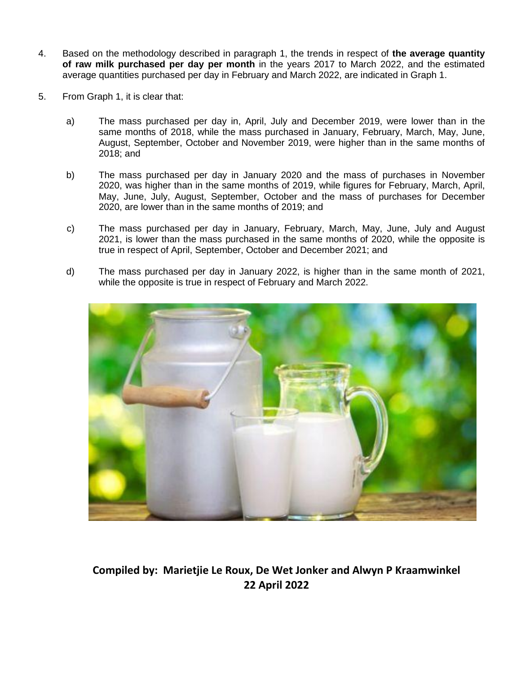- 4. Based on the methodology described in paragraph 1, the trends in respect of **the average quantity of raw milk purchased per day per month** in the years 2017 to March 2022, and the estimated average quantities purchased per day in February and March 2022, are indicated in Graph 1.
- 5. From Graph 1, it is clear that:
	- a) The mass purchased per day in, April, July and December 2019, were lower than in the same months of 2018, while the mass purchased in January, February, March, May, June, August, September, October and November 2019, were higher than in the same months of 2018; and
	- b) The mass purchased per day in January 2020 and the mass of purchases in November 2020, was higher than in the same months of 2019, while figures for February, March, April, May, June, July, August, September, October and the mass of purchases for December 2020, are lower than in the same months of 2019; and
	- c) The mass purchased per day in January, February, March, May, June, July and August 2021, is lower than the mass purchased in the same months of 2020, while the opposite is true in respect of April, September, October and December 2021; and
	- d) The mass purchased per day in January 2022, is higher than in the same month of 2021, while the opposite is true in respect of February and March 2022.



**Compiled by: Marietjie Le Roux, De Wet Jonker and Alwyn P Kraamwinkel 22 April 2022**